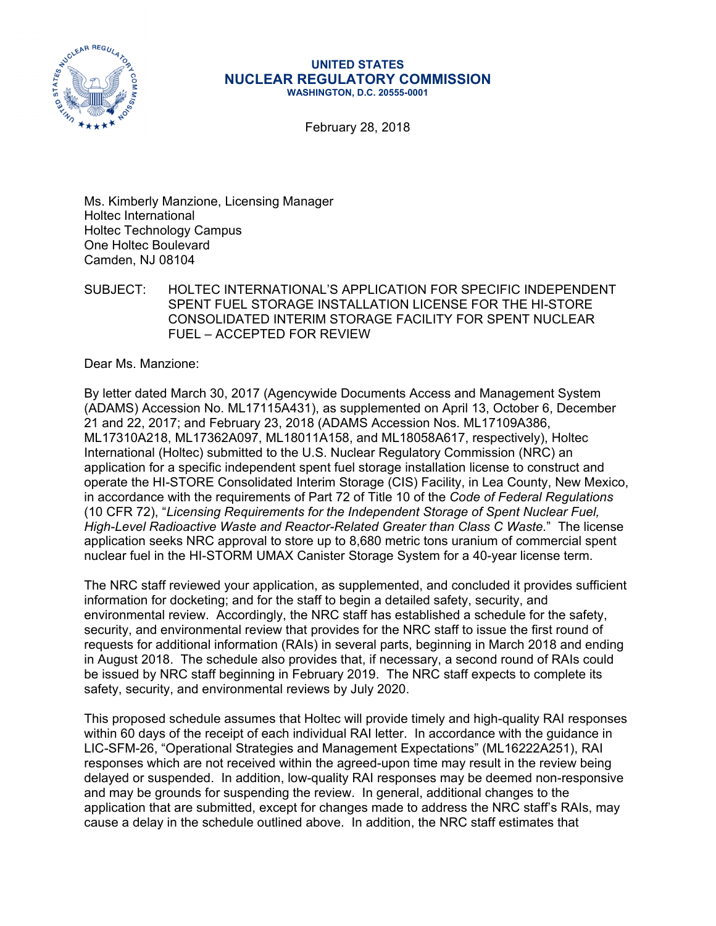

## **UNITED STATES NUCLEAR REGULATORY COMMISSION WASHINGTON, D.C. 20555-0001**

February 28, 2018

Ms. Kimberly Manzione, Licensing Manager Holtec International Holtec Technology Campus One Holtec Boulevard Camden, NJ 08104

SUBJECT: HOLTEC INTERNATIONAL'S APPLICATION FOR SPECIFIC INDEPENDENT SPENT FUEL STORAGE INSTALLATION LICENSE FOR THE HI-STORE CONSOLIDATED INTERIM STORAGE FACILITY FOR SPENT NUCLEAR FUEL – ACCEPTED FOR REVIEW

Dear Ms. Manzione:

By letter dated March 30, 2017 (Agencywide Documents Access and Management System (ADAMS) Accession No. ML17115A431), as supplemented on April 13, October 6, December 21 and 22, 2017; and February 23, 2018 (ADAMS Accession Nos. ML17109A386, ML17310A218, ML17362A097, ML18011A158, and ML18058A617, respectively), Holtec International (Holtec) submitted to the U.S. Nuclear Regulatory Commission (NRC) an application for a specific independent spent fuel storage installation license to construct and operate the HI-STORE Consolidated Interim Storage (CIS) Facility, in Lea County, New Mexico, in accordance with the requirements of Part 72 of Title 10 of the *Code of Federal Regulations* (10 CFR 72), "*Licensing Requirements for the Independent Storage of Spent Nuclear Fuel, High-Level Radioactive Waste and Reactor-Related Greater than Class C Waste.*" The license application seeks NRC approval to store up to 8,680 metric tons uranium of commercial spent nuclear fuel in the HI-STORM UMAX Canister Storage System for a 40-year license term.

The NRC staff reviewed your application, as supplemented, and concluded it provides sufficient information for docketing; and for the staff to begin a detailed safety, security, and environmental review. Accordingly, the NRC staff has established a schedule for the safety, security, and environmental review that provides for the NRC staff to issue the first round of requests for additional information (RAIs) in several parts, beginning in March 2018 and ending in August 2018. The schedule also provides that, if necessary, a second round of RAIs could be issued by NRC staff beginning in February 2019. The NRC staff expects to complete its safety, security, and environmental reviews by July 2020.

This proposed schedule assumes that Holtec will provide timely and high-quality RAI responses within 60 days of the receipt of each individual RAI letter. In accordance with the guidance in LIC-SFM-26, "Operational Strategies and Management Expectations" (ML16222A251), RAI responses which are not received within the agreed-upon time may result in the review being delayed or suspended. In addition, low-quality RAI responses may be deemed non-responsive and may be grounds for suspending the review. In general, additional changes to the application that are submitted, except for changes made to address the NRC staff's RAIs, may cause a delay in the schedule outlined above. In addition, the NRC staff estimates that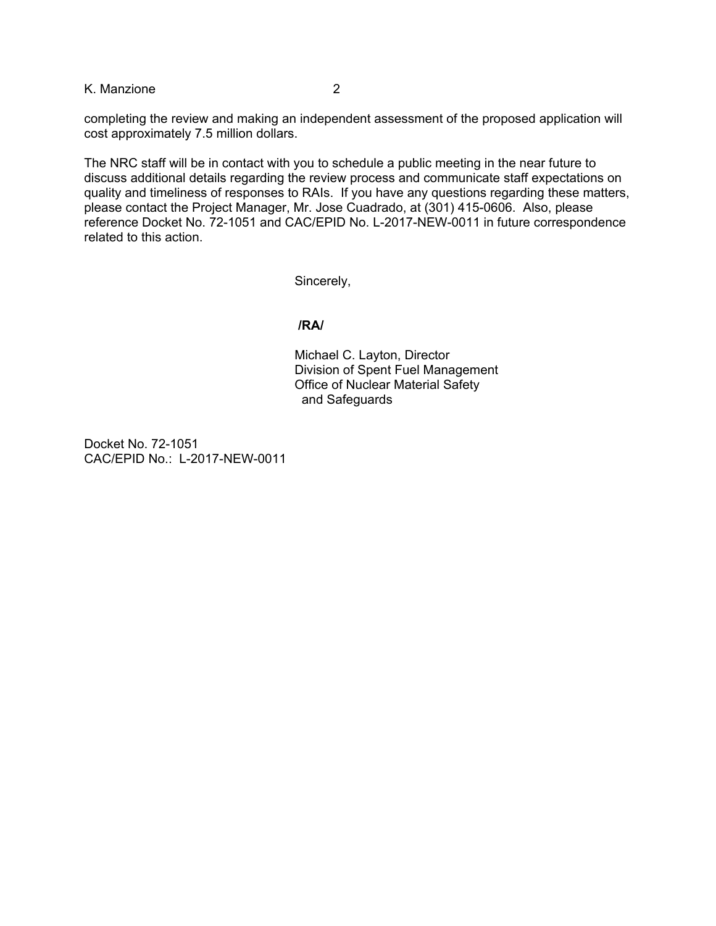K. Manzione 2

completing the review and making an independent assessment of the proposed application will cost approximately 7.5 million dollars.

The NRC staff will be in contact with you to schedule a public meeting in the near future to discuss additional details regarding the review process and communicate staff expectations on quality and timeliness of responses to RAIs. If you have any questions regarding these matters, please contact the Project Manager, Mr. Jose Cuadrado, at (301) 415-0606. Also, please reference Docket No. 72-1051 and CAC/EPID No. L-2017-NEW-0011 in future correspondence related to this action.

Sincerely,

## **/RA/**

Michael C. Layton, Director Division of Spent Fuel Management Office of Nuclear Material Safety and Safeguards

Docket No. 72-1051 CAC/EPID No.: L-2017-NEW-0011